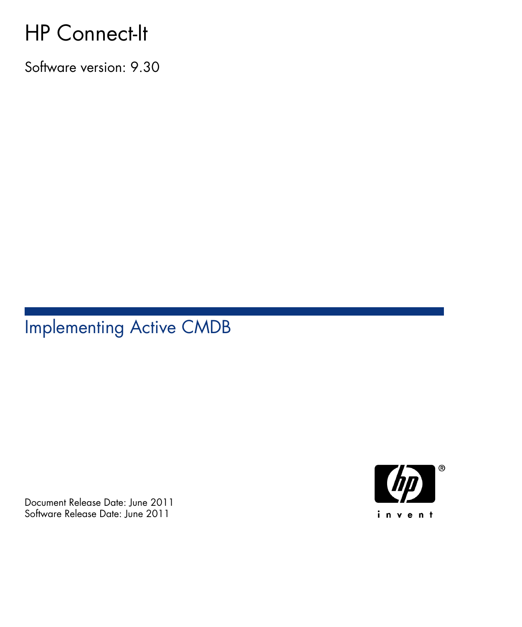# HP Connect-It

Software version: 9.30

# Implementing Active CMDB

Document Release Date: June 2011 Software Release Date: June 2011

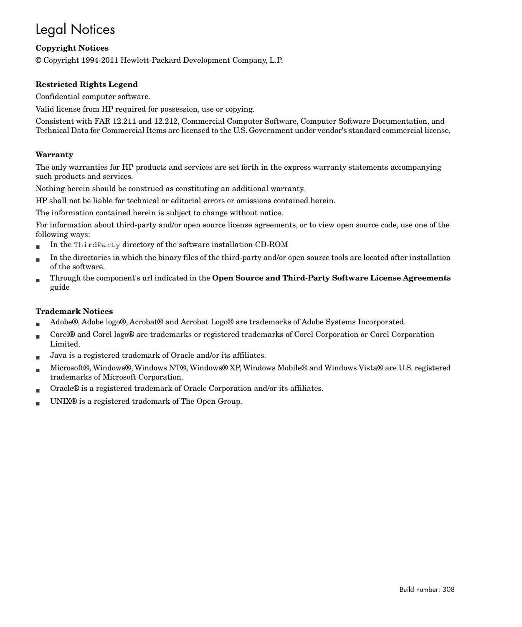# Legal Notices

#### **Copyright Notices**

© Copyright 1994-2011 Hewlett-Packard Development Company, L.P.

#### **Restricted Rights Legend**

Confidential computer software.

Valid license from HP required for possession, use or copying.

Consistent with FAR 12.211 and 12.212, Commercial Computer Software, Computer Software Documentation, and Technical Data for Commercial Items are licensed to the U.S. Government under vendor's standard commercial license.

#### **Warranty**

The only warranties for HP products and services are set forth in the express warranty statements accompanying such products and services.

Nothing herein should be construed as constituting an additional warranty.

HP shall not be liable for technical or editorial errors or omissions contained herein.

The information contained herein is subject to change without notice.

For information about third-party and/or open source license agreements, or to view open source code, use one of the following ways:

- <sup>n</sup> In the ThirdParty directory of the software installation CD-ROM
- n In the directories in which the binary files of the third-party and/or open source tools are located after installation of the software.
- n Through the component's url indicated in the **Open Source and Third-Party Software License Agreements** guide

#### **Trademark Notices**

- n Adobe®, Adobe logo®, Acrobat® and Acrobat Logo® are trademarks of Adobe Systems Incorporated.
- n Corel® and Corel logo® are trademarks or registered trademarks of Corel Corporation or Corel Corporation Limited.
- Java is a registered trademark of Oracle and/or its affiliates.
- n Microsoft®, Windows®, Windows NT®, Windows® XP, Windows Mobile® and Windows Vista® are U.S. registered trademarks of Microsoft Corporation.
- Oracle® is a registered trademark of Oracle Corporation and/or its affiliates.
- UNIX<sup>®</sup> is a registered trademark of The Open Group.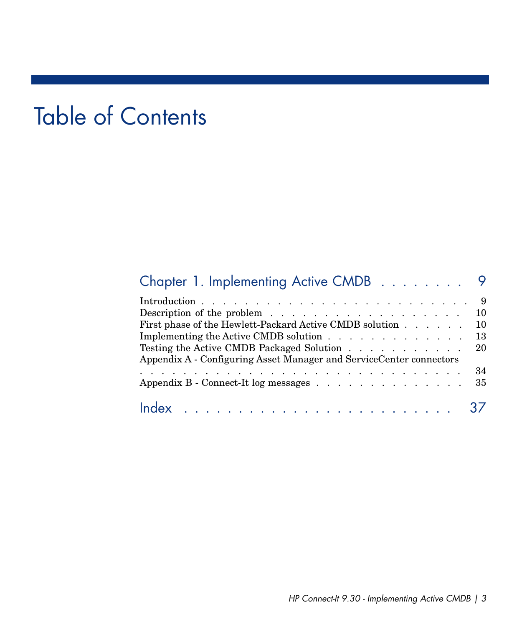# Table of Contents

| Chapter 1. Implementing Active CMDB 9                                                                                                                                                                                                                                                              |                   |
|----------------------------------------------------------------------------------------------------------------------------------------------------------------------------------------------------------------------------------------------------------------------------------------------------|-------------------|
| Description of the problem 10<br>First phase of the Hewlett-Packard Active CMDB solution<br>Implementing the Active CMDB solution $\ldots$ $\ldots$ $\ldots$ $\ldots$ $\ldots$<br>Testing the Active CMDB Packaged Solution<br>Appendix A - Configuring Asset Manager and ServiceCenter connectors | -10<br>-13<br>-20 |
| Appendix B - Connect-It log messages 35                                                                                                                                                                                                                                                            |                   |
|                                                                                                                                                                                                                                                                                                    |                   |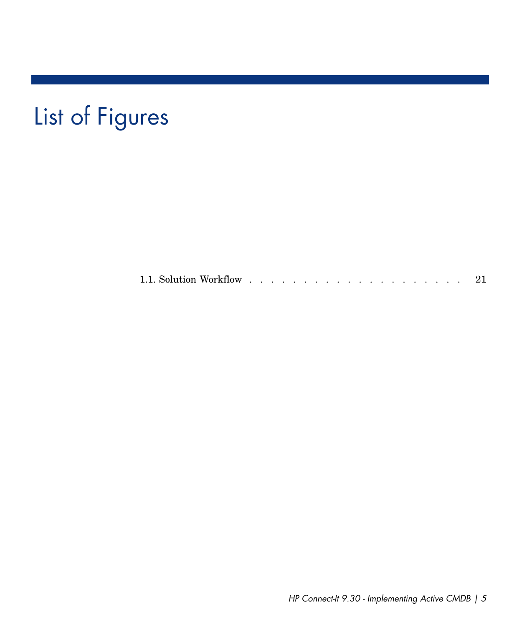# List of Figures

1.1. Solution Workflow . . . . . . . . . . . . . . . . . . . . [21](#page-20-0)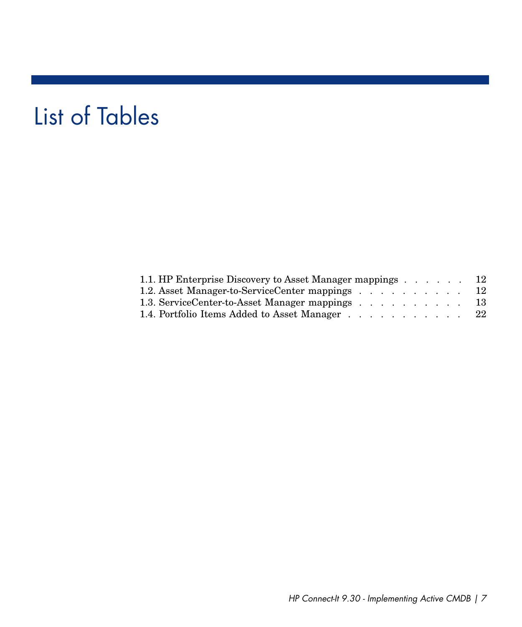# List of Tables

| 1.1. HP Enterprise Discovery to Asset Manager mappings 12 |  |  |  |     |
|-----------------------------------------------------------|--|--|--|-----|
| 1.2. Asset Manager-to-ServiceCenter mappings 12           |  |  |  |     |
| 1.3. ServiceCenter-to-Asset Manager mappings              |  |  |  | -13 |
| 1.4. Portfolio Items Added to Asset Manager               |  |  |  | -22 |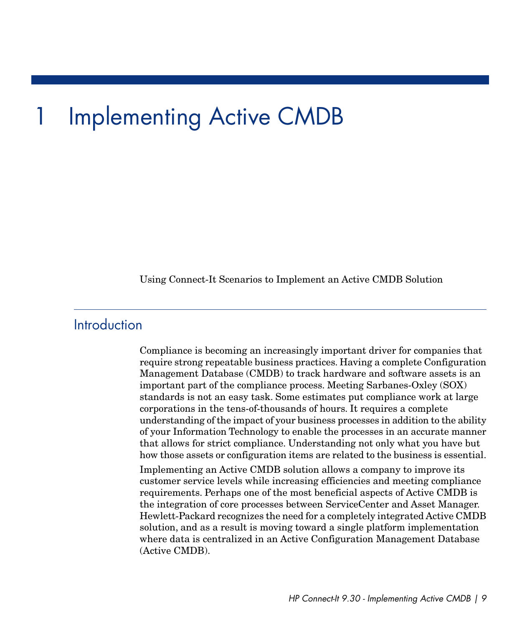# 1 Implementing Active CMDB

<span id="page-8-1"></span><span id="page-8-0"></span>Using Connect-It Scenarios to Implement an Active CMDB Solution

## Introduction

Compliance is becoming an increasingly important driver for companies that require strong repeatable business practices. Having a complete Configuration Management Database (CMDB) to track hardware and software assets is an important part of the compliance process. Meeting Sarbanes-Oxley (SOX) standards is not an easy task. Some estimates put compliance work at large corporations in the tens-of-thousands of hours. It requires a complete understanding of the impact of your business processes in addition to the ability of your Information Technology to enable the processes in an accurate manner that allows for strict compliance. Understanding not only what you have but how those assets or configuration items are related to the business is essential.

Implementing an Active CMDB solution allows a company to improve its customer service levels while increasing efficiencies and meeting compliance requirements. Perhaps one of the most beneficial aspects of Active CMDB is the integration of core processes between ServiceCenter and Asset Manager. Hewlett-Packard recognizes the need for a completely integrated Active CMDB solution, and as a result is moving toward a single platform implementation where data is centralized in an Active Configuration Management Database (Active CMDB).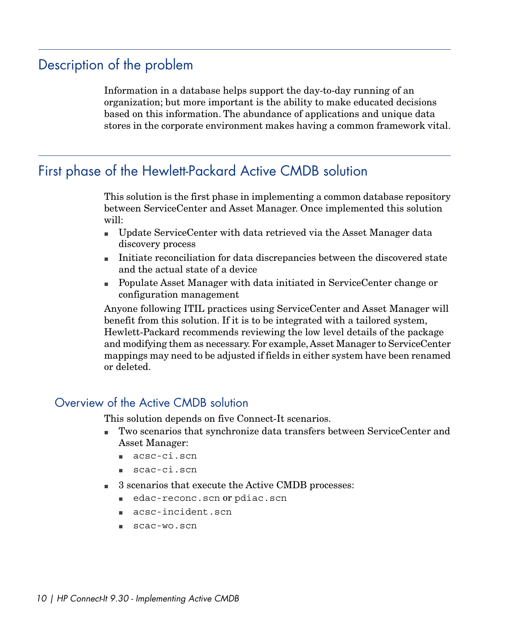# Description of the problem

<span id="page-9-1"></span><span id="page-9-0"></span>Information in a database helps support the day-to-day running of an organization; but more important is the ability to make educated decisions based on this information. The abundance of applications and unique data stores in the corporate environment makes having a common framework vital.

# First phase of the Hewlett-Packard Active CMDB solution

This solution is the first phase in implementing a common database repository between ServiceCenter and Asset Manager. Once implemented this solution will:

- <sup>n</sup> Update ServiceCenter with data retrieved via the Asset Manager data discovery process
- n Initiate reconciliation for data discrepancies between the discovered state and the actual state of a device
- <sup>n</sup> Populate Asset Manager with data initiated in ServiceCenter change or configuration management

Anyone following ITIL practices using ServiceCenter and Asset Manager will benefit from this solution. If it is to be integrated with a tailored system, Hewlett-Packard recommends reviewing the low level details of the package and modifying them as necessary. For example,Asset Manager to ServiceCenter mappings may need to be adjusted if fields in either system have been renamed or deleted.

## Overview of the Active CMDB solution

This solution depends on five Connect-It scenarios.

- <sup>n</sup> Two scenarios that synchronize data transfers between ServiceCenter and Asset Manager:
	- n acsc-ci.scn
	- scac-ci.scn
- <sup>n</sup> 3 scenarios that execute the Active CMDB processes:
	- edac-reconc.scn or pdiac.scn
	- <sup>n</sup> acsc-incident.scn
	- <sup>n</sup> scac-wo.scn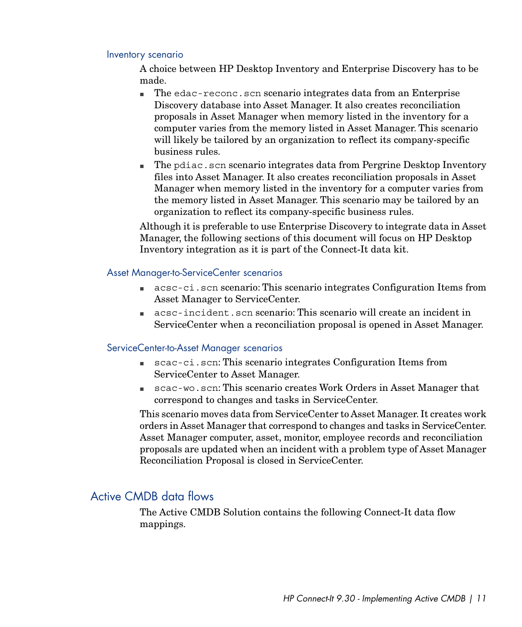#### Inventory scenario

A choice between HP Desktop Inventory and Enterprise Discovery has to be made.

- n The edac-reconc.scn scenario integrates data from an Enterprise Discovery database into Asset Manager. It also creates reconciliation proposals in Asset Manager when memory listed in the inventory for a computer varies from the memory listed in Asset Manager. This scenario will likely be tailored by an organization to reflect its company-specific business rules.
- n The pdiac.scn scenario integrates data from Pergrine Desktop Inventory files into Asset Manager. It also creates reconciliation proposals in Asset Manager when memory listed in the inventory for a computer varies from the memory listed in Asset Manager. This scenario may be tailored by an organization to reflect its company-specific business rules.

Although it is preferable to use Enterprise Discovery to integrate data in Asset Manager, the following sections of this document will focus on HP Desktop Inventory integration as it is part of the Connect-It data kit.

#### Asset Manager-to-ServiceCenter scenarios

- $\Box$  acsc-ci.scn scenario: This scenario integrates Configuration Items from Asset Manager to ServiceCenter.
- <sup>n</sup> acsc-incident.scn scenario: This scenario will create an incident in ServiceCenter when a reconciliation proposal is opened in Asset Manager.

#### ServiceCenter-to-Asset Manager scenarios

- <sup>n</sup> scac-ci.scn: This scenario integrates Configuration Items from ServiceCenter to Asset Manager.
- <sup>n</sup> scac-wo.scn: This scenario creates Work Orders in Asset Manager that correspond to changes and tasks in ServiceCenter.

This scenario moves data from ServiceCenter to Asset Manager. It creates work orders in Asset Manager that correspond to changes and tasks in ServiceCenter. Asset Manager computer, asset, monitor, employee records and reconciliation proposals are updated when an incident with a problem type of Asset Manager Reconciliation Proposal is closed in ServiceCenter.

## Active CMDB data flows

The Active CMDB Solution contains the following Connect-It data flow mappings.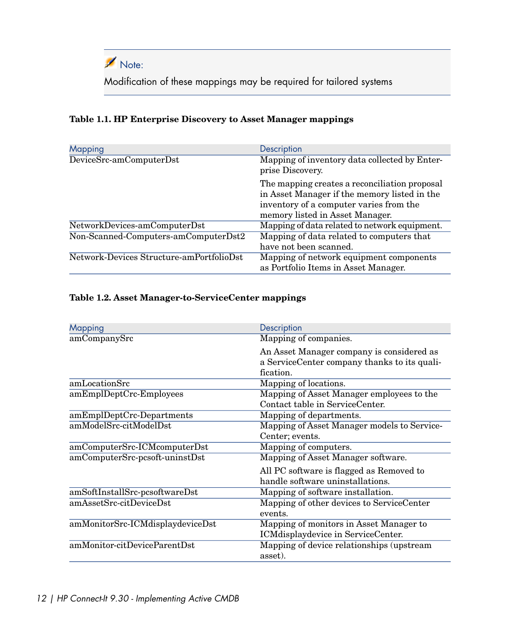

<span id="page-11-0"></span>Modification of these mappings may be required for tailored systems

#### **Table 1.1. HP Enterprise Discovery to Asset Manager mappings**

| <b>Mapping</b>                           | Description                                                                                                                                                                 |
|------------------------------------------|-----------------------------------------------------------------------------------------------------------------------------------------------------------------------------|
| DeviceSrc-amComputerDst                  | Mapping of inventory data collected by Enter-<br>prise Discovery.                                                                                                           |
|                                          | The mapping creates a reconciliation proposal<br>in Asset Manager if the memory listed in the<br>inventory of a computer varies from the<br>memory listed in Asset Manager. |
| NetworkDevices-amComputerDst             | Mapping of data related to network equipment.                                                                                                                               |
| Non-Scanned-Computers-amComputerDst2     | Mapping of data related to computers that<br>have not been scanned.                                                                                                         |
| Network-Devices Structure-amPortfolioDst | Mapping of network equipment components<br>as Portfolio Items in Asset Manager.                                                                                             |

#### <span id="page-11-1"></span>**Table 1.2. Asset Manager-to-ServiceCenter mappings**

| Mapping                          | Description                                  |
|----------------------------------|----------------------------------------------|
| amCompanySrc                     | Mapping of companies.                        |
|                                  | An Asset Manager company is considered as    |
|                                  | a ServiceCenter company thanks to its quali- |
|                                  | fication.                                    |
| amLocationSrc                    | Mapping of locations.                        |
| amEmplDeptCrc-Employees          | Mapping of Asset Manager employees to the    |
|                                  | Contact table in ServiceCenter.              |
| amEmplDeptCrc-Departments        | Mapping of departments.                      |
| amModelSrc-citModelDst           | Mapping of Asset Manager models to Service-  |
|                                  | Center; events.                              |
| amComputerSrc-ICMcomputerDst     | Mapping of computers.                        |
| amComputerSrc-pcsoft-uninstDst   | Mapping of Asset Manager software.           |
|                                  | All PC software is flagged as Removed to     |
|                                  | handle software uninstallations.             |
| amSoftInstallSrc-pcsoftwareDst   | Mapping of software installation.            |
| amAssetSrc-citDeviceDst          | Mapping of other devices to ServiceCenter    |
|                                  | events.                                      |
| amMonitorSrc-ICMdisplaydeviceDst | Mapping of monitors in Asset Manager to      |
|                                  | ICMdisplaydevice in ServiceCenter.           |
| amMonitor-citDeviceParentDst     | Mapping of device relationships (upstream    |
|                                  | asset).                                      |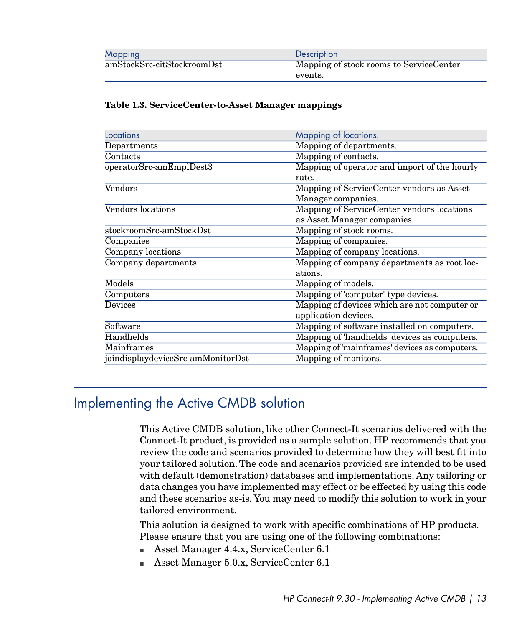| <b>Mapping</b>             | Description                             |
|----------------------------|-----------------------------------------|
| amStockSrc-citStockroomDst | Mapping of stock rooms to ServiceCenter |
|                            | events.                                 |

#### <span id="page-12-1"></span>**Table 1.3. ServiceCenter-to-Asset Manager mappings**

| Locations                         | Mapping of locations.                         |
|-----------------------------------|-----------------------------------------------|
| Departments                       | Mapping of departments.                       |
| Contacts                          | Mapping of contacts.                          |
| operatorSrc-amEmplDest3           | Mapping of operator and import of the hourly  |
|                                   | rate.                                         |
| Vendors                           | Mapping of ServiceCenter vendors as Asset     |
|                                   | Manager companies.                            |
| Vendors locations                 | Mapping of ServiceCenter vendors locations    |
|                                   | as Asset Manager companies.                   |
| stockroomSrc-amStockDst           | Mapping of stock rooms.                       |
| Companies                         | Mapping of companies.                         |
| Company locations                 | Mapping of company locations.                 |
| Company departments               | Mapping of company departments as root loc-   |
|                                   | ations.                                       |
| Models                            | Mapping of models.                            |
| Computers                         | Mapping of 'computer' type devices.           |
| Devices                           | Mapping of devices which are not computer or  |
|                                   | application devices.                          |
| Software                          | Mapping of software installed on computers.   |
| Handhelds                         | Mapping of 'handhelds' devices as computers.  |
| Mainframes                        | Mapping of 'mainframes' devices as computers. |
| joindisplaydeviceSrc-amMonitorDst | Mapping of monitors.                          |

## <span id="page-12-0"></span>Implementing the Active CMDB solution

This Active CMDB solution, like other Connect-It scenarios delivered with the Connect-It product, is provided as a sample solution. HP recommends that you review the code and scenarios provided to determine how they will best fit into your tailored solution. The code and scenarios provided are intended to be used with default (demonstration) databases and implementations. Any tailoring or data changes you have implemented may effect or be effected by using this code and these scenarios as-is. You may need to modify this solution to work in your tailored environment.

This solution is designed to work with specific combinations of HP products. Please ensure that you are using one of the following combinations:

- Asset Manager 4.4.x, ServiceCenter 6.1
- Asset Manager 5.0.x, ServiceCenter 6.1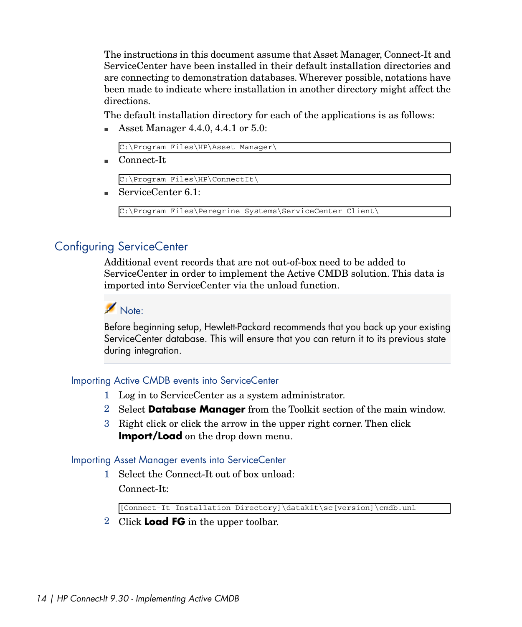The instructions in this document assume that Asset Manager, Connect-It and ServiceCenter have been installed in their default installation directories and are connecting to demonstration databases. Wherever possible, notations have been made to indicate where installation in another directory might affect the directions.

The default installation directory for each of the applications is as follows:

Asset Manager  $4.4.0, 4.4.1$  or  $5.0$ :

C:\Program Files\HP\Asset Manager\

 $Connect\text{-}\mathrm{It}$ 

C:\Program Files\HP\ConnectIt\

■ ServiceCenter 6.1:

C:\Program Files\Peregrine Systems\ServiceCenter Client\

## Configuring ServiceCenter

Additional event records that are not out-of-box need to be added to ServiceCenter in order to implement the Active CMDB solution. This data is imported into ServiceCenter via the unload function.



Before beginning setup, Hewlett-Packard recommends that you back up your existing ServiceCenter database. This will ensure that you can return it to its previous state during integration.

#### Importing Active CMDB events into ServiceCenter

- 1 Log in to ServiceCenter as a system administrator.
- 2 Select **Database Manager** from the Toolkit section of the main window.
- 3 Right click or click the arrow in the upper right corner. Then click **Import/Load** on the drop down menu.

#### Importing Asset Manager events into ServiceCenter

1 Select the Connect-It out of box unload: Connect-It:

[Connect-It Installation Directory]\datakit\sc[version]\cmdb.unl

2 Click **Load FG** in the upper toolbar.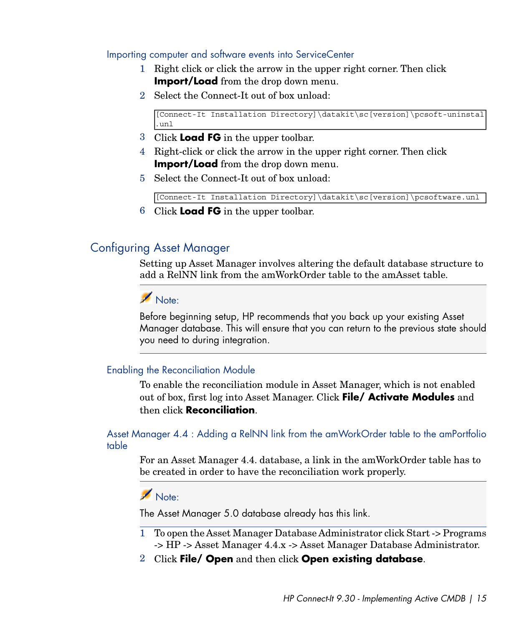Importing computer and software events into ServiceCenter

- 1 Right click or click the arrow in the upper right corner. Then click **Import/Load** from the drop down menu.
- 2 Select the Connect-It out of box unload:

```
[Connect-It Installation Directory]\datakit\sc[version]\pcsoft-uninstal
.unl
```
- 3 Click **Load FG** in the upper toolbar.
- 4 Right-click or click the arrow in the upper right corner. Then click **Import/Load** from the drop down menu.
- 5 Select the Connect-It out of box unload:

[Connect-It Installation Directory]\datakit\sc[version]\pcsoftware.unl

6 Click **Load FG** in the upper toolbar.

## Configuring Asset Manager

Setting up Asset Manager involves altering the default database structure to add a RelNN link from the amWorkOrder table to the amAsset table.

## Note:

Before beginning setup, HP recommends that you back up your existing Asset Manager database. This will ensure that you can return to the previous state should you need to during integration.

#### Enabling the Reconciliation Module

To enable the reconciliation module in Asset Manager, which is not enabled out of box, first log into Asset Manager. Click **File/ Activate Modules** and then click **Reconciliation**.

Asset Manager 4.4 : Adding a RelNN link from the amWorkOrder table to the amPortfolio table

For an Asset Manager 4.4. database, a link in the amWorkOrder table has to be created in order to have the reconciliation work properly.

## $N$ ote:

The Asset Manager 5.0 database already has this link.

- 1 To open the Asset Manager Database Administrator click Start -> Programs -> HP -> Asset Manager 4.4.x -> Asset Manager Database Administrator.
- 2 Click **File/ Open** and then click **Open existing database**.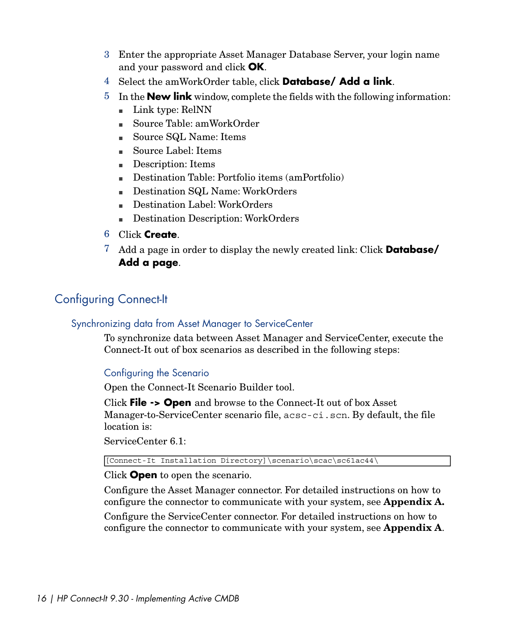- 3 Enter the appropriate Asset Manager Database Server, your login name and your password and click **OK**.
- 4 Select the amWorkOrder table, click **Database/ Add a link**.
- 5 In the **New link** window, complete the fields with the following information:
	- $\blacksquare$  Link type: RelNN
	- <sup>n</sup> Source Table: amWorkOrder
	- Source SQL Name: Items
	- Source Label: Items
	- Description: Items
	- n Destination Table: Portfolio items (amPortfolio)
	- Destination SQL Name: WorkOrders
	- n Destination Label: WorkOrders
	- <sup>n</sup> Destination Description: WorkOrders
- 6 Click **Create**.
- 7 Add a page in order to display the newly created link: Click **Database/ Add a page**.

## Configuring Connect-It

### Synchronizing data from Asset Manager to ServiceCenter

To synchronize data between Asset Manager and ServiceCenter, execute the Connect-It out of box scenarios as described in the following steps:

## Configuring the Scenario

Open the Connect-It Scenario Builder tool.

Click **File -> Open** and browse to the Connect-It out of box Asset Manager-to-ServiceCenter scenario file, acsc-ci.scn. By default, the file location is:

ServiceCenter 6.1:

[Connect-It Installation Directory]\scenario\scac\sc61ac44\

Click **Open** to open the scenario.

Configure the Asset Manager connector. For detailed instructions on how to configure the connector to communicate with your system, see **Appendix A.**

Configure the ServiceCenter connector. For detailed instructions on how to configure the connector to communicate with your system, see **Appendix A**.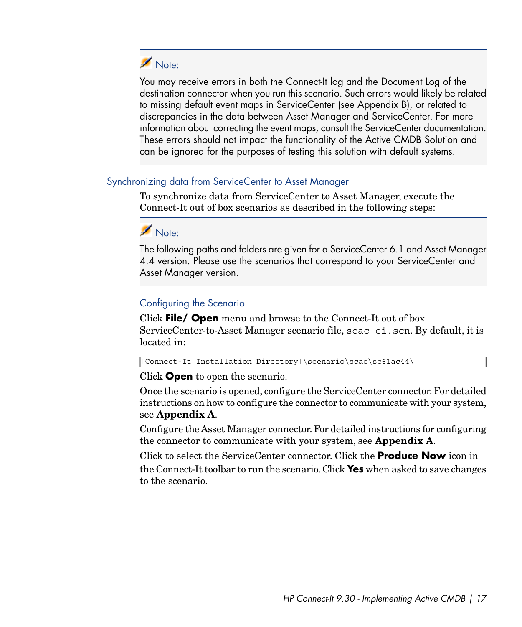

You may receive errors in both the Connect-It log and the Document Log of the destination connector when you run this scenario. Such errors would likely be related to missing default event maps in ServiceCenter (see Appendix B), or related to discrepancies in the data between Asset Manager and ServiceCenter. For more information about correcting the event maps, consult the ServiceCenter documentation. These errors should not impact the functionality of the Active CMDB Solution and can be ignored for the purposes of testing this solution with default systems.

#### Synchronizing data from ServiceCenter to Asset Manager

To synchronize data from ServiceCenter to Asset Manager, execute the Connect-It out of box scenarios as described in the following steps:

## Note:

The following paths and folders are given for a ServiceCenter 6.1 and Asset Manager 4.4 version. Please use the scenarios that correspond to your ServiceCenter and Asset Manager version.

### Configuring the Scenario

Click **File/ Open** menu and browse to the Connect-It out of box ServiceCenter-to-Asset Manager scenario file, scac-ci.scn. By default, it is located in:

[Connect-It Installation Directory]\scenario\scac\sc61ac44\

Click **Open** to open the scenario.

Once the scenario is opened, configure the ServiceCenter connector. For detailed instructions on how to configure the connector to communicate with your system, see **Appendix A**.

Configure the Asset Manager connector. For detailed instructions for configuring the connector to communicate with your system, see **Appendix A**.

Click to select the ServiceCenter connector. Click the **Produce Now** icon in the Connect-It toolbar to run the scenario. Click **Yes** when asked to save changes to the scenario.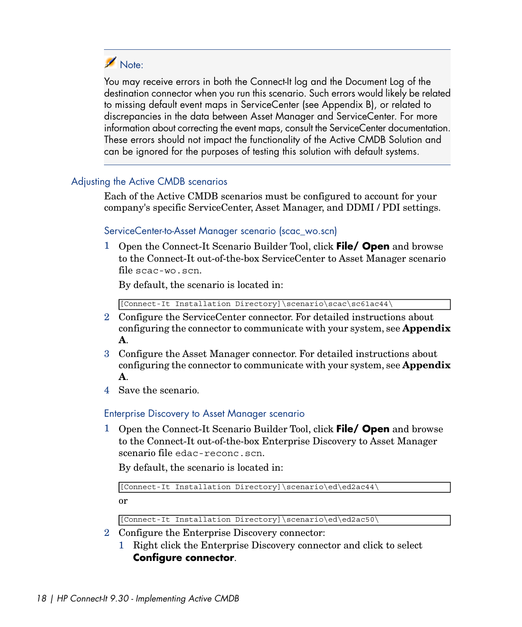# Note:

You may receive errors in both the Connect-It log and the Document Log of the destination connector when you run this scenario. Such errors would likely be related to missing default event maps in ServiceCenter (see Appendix B), or related to discrepancies in the data between Asset Manager and ServiceCenter. For more information about correcting the event maps, consult the ServiceCenter documentation. These errors should not impact the functionality of the Active CMDB Solution and can be ignored for the purposes of testing this solution with default systems.

### Adjusting the Active CMDB scenarios

Each of the Active CMDB scenarios must be configured to account for your company's specific ServiceCenter, Asset Manager, and DDMI / PDI settings.

## ServiceCenter-to-Asset Manager scenario (scac\_wo.scn)

1 Open the Connect-It Scenario Builder Tool, click **File/ Open** and browse to the Connect-It out-of-the-box ServiceCenter to Asset Manager scenario file scac-wo.scn.

By default, the scenario is located in:

[Connect-It Installation Directory]\scenario\scac\sc61ac44\

- 2 Configure the ServiceCenter connector. For detailed instructions about configuring the connector to communicate with your system, see **Appendix A**.
- 3 Configure the Asset Manager connector. For detailed instructions about configuring the connector to communicate with your system, see **Appendix A**.
- 4 Save the scenario.

Enterprise Discovery to Asset Manager scenario

1 Open the Connect-It Scenario Builder Tool, click **File/ Open** and browse to the Connect-It out-of-the-box Enterprise Discovery to Asset Manager scenario file edac-reconc.scn.

By default, the scenario is located in:

[Connect-It Installation Directory]\scenario\ed\ed2ac44\

or

[Connect-It Installation Directory]\scenario\ed\ed2ac50\

- 2 Configure the Enterprise Discovery connector:
	- 1 Right click the Enterprise Discovery connector and click to select **Configure connector**.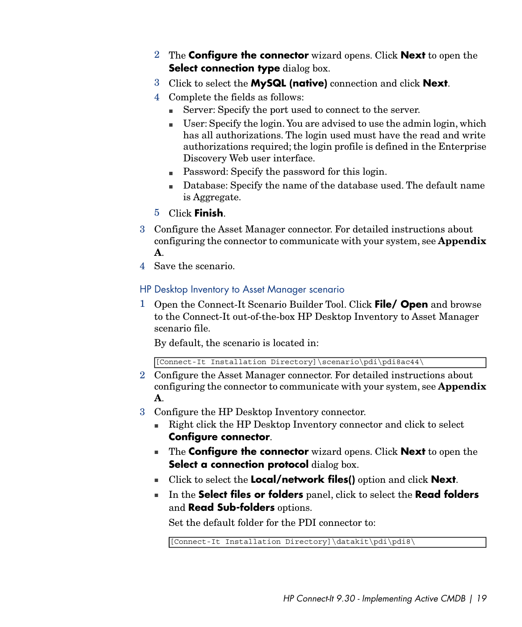- 2 The **Configure the connector** wizard opens. Click **Next** to open the **Select connection type** dialog box.
- 3 Click to select the **MySQL (native)** connection and click **Next**.
- 4 Complete the fields as follows:
	- <sup>n</sup> Server: Specify the port used to connect to the server.
	- <sup>n</sup> User: Specify the login. You are advised to use the admin login, which has all authorizations. The login used must have the read and write authorizations required; the login profile is defined in the Enterprise Discovery Web user interface.
	- Password: Specify the password for this login.
	- <sup>n</sup> Database: Specify the name of the database used. The default name is Aggregate.
- 5 Click **Finish**.
- 3 Configure the Asset Manager connector. For detailed instructions about configuring the connector to communicate with your system, see **Appendix A**.
- 4 Save the scenario.

#### HP Desktop Inventory to Asset Manager scenario

1 Open the Connect-It Scenario Builder Tool. Click **File/ Open** and browse to the Connect-It out-of-the-box HP Desktop Inventory to Asset Manager scenario file.

By default, the scenario is located in:

[Connect-It Installation Directory]\scenario\pdi\pdi8ac44\

- 2 Configure the Asset Manager connector. For detailed instructions about configuring the connector to communicate with your system, see **Appendix A**.
- 3 Configure the HP Desktop Inventory connector.
	- n Right click the HP Desktop Inventory connector and click to select **Configure connector**.
	- <sup>n</sup> The **Configure the connector** wizard opens. Click **Next** to open the **Select a connection protocol** dialog box.
	- <sup>n</sup> Click to select the **Local/network files()** option and click **Next**.
	- <sup>n</sup> In the **Select files or folders** panel, click to select the **Read folders** and **Read Sub-folders** options.

Set the default folder for the PDI connector to:

[Connect-It Installation Directory]\datakit\pdi\pdi8\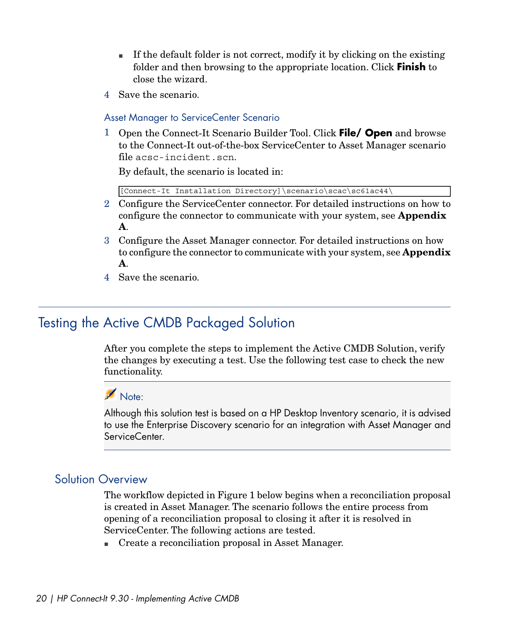- <sup>n</sup> If the default folder is not correct, modify it by clicking on the existing folder and then browsing to the appropriate location. Click **Finish** to close the wizard.
- 4 Save the scenario.

#### Asset Manager to ServiceCenter Scenario

1 Open the Connect-It Scenario Builder Tool. Click **File/ Open** and browse to the Connect-It out-of-the-box ServiceCenter to Asset Manager scenario file acsc-incident.scn.

By default, the scenario is located in:

[Connect-It Installation Directory]\scenario\scac\sc61ac44\

- 2 Configure the ServiceCenter connector. For detailed instructions on how to configure the connector to communicate with your system, see **Appendix A**.
- 3 Configure the Asset Manager connector. For detailed instructions on how to configure the connector to communicate with your system, see **Appendix A**.
- <span id="page-19-0"></span>4 Save the scenario.

## Testing the Active CMDB Packaged Solution

After you complete the steps to implement the Active CMDB Solution, verify the changes by executing a test. Use the following test case to check the new functionality.

# Note:

Although this solution test is based on a HP Desktop Inventory scenario, it is advised to use the Enterprise Discovery scenario for an integration with Asset Manager and ServiceCenter.

### Solution Overview

The workflow depicted in Figure 1 below begins when a reconciliation proposal is created in Asset Manager. The scenario follows the entire process from opening of a reconciliation proposal to closing it after it is resolved in ServiceCenter. The following actions are tested.

■ Create a reconciliation proposal in Asset Manager.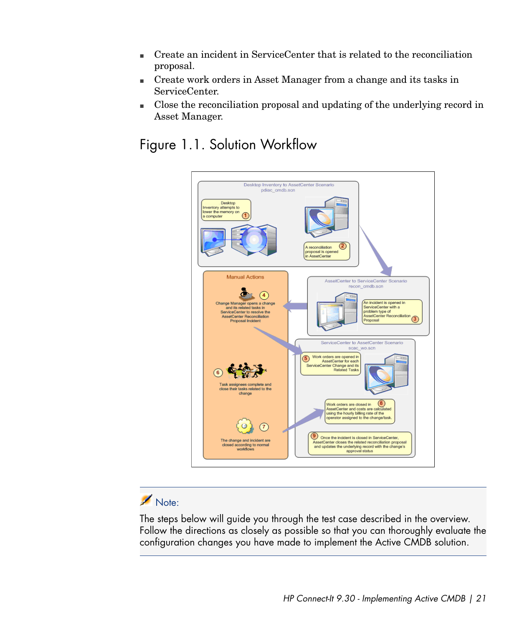- <sup>n</sup> Create an incident in ServiceCenter that is related to the reconciliation proposal.
- <sup>n</sup> Create work orders in Asset Manager from a change and its tasks in ServiceCenter.
- <sup>n</sup> Close the reconciliation proposal and updating of the underlying record in Asset Manager.

<span id="page-20-0"></span>Figure 1.1. Solution Workflow



# Note:

The steps below will guide you through the test case described in the overview. Follow the directions as closely as possible so that you can thoroughly evaluate the configuration changes you have made to implement the Active CMDB solution.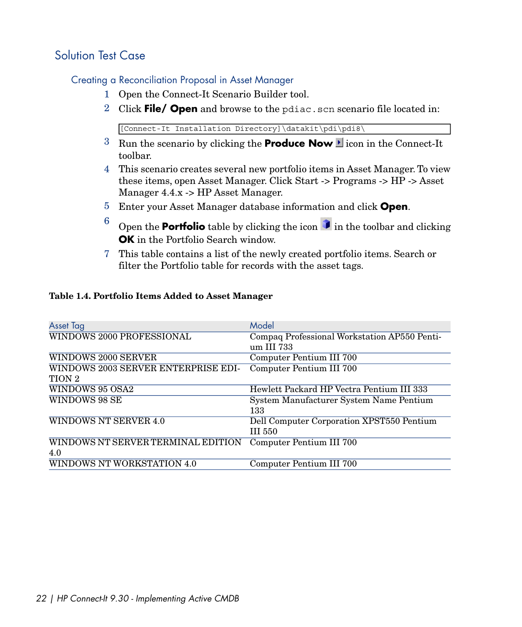## Solution Test Case

#### Creating a Reconciliation Proposal in Asset Manager

- 1 Open the Connect-It Scenario Builder tool.
- 2 Click **File/ Open** and browse to the pdiac.scn scenario file located in:

[Connect-It Installation Directory]\datakit\pdi\pdi8\

- $3$  Run the scenario by clicking the **Produce Now** lia con in the Connect-It toolbar.
- 4 This scenario creates several new portfolio items in Asset Manager. To view these items, open Asset Manager. Click Start -> Programs -> HP -> Asset Manager 4.4.x -> HP Asset Manager.
- 5 Enter your Asset Manager database information and click **Open**.
- $\frac{6}{9}$  Open the **Portfolio** table by clicking the icon  $\frac{1}{9}$  in the toolbar and clicking **OK** in the Portfolio Search window.
- <span id="page-21-0"></span>7 This table contains a list of the newly created portfolio items. Search or filter the Portfolio table for records with the asset tags.

#### **Table 1.4. Portfolio Items Added to Asset Manager**

| Asset Tag                           | Model                                        |
|-------------------------------------|----------------------------------------------|
| WINDOWS 2000 PROFESSIONAL           | Compaq Professional Workstation AP550 Penti- |
|                                     | um III 733                                   |
| <b>WINDOWS 2000 SERVER</b>          | Computer Pentium III 700                     |
| WINDOWS 2003 SERVER ENTERPRISE EDI- | Computer Pentium III 700                     |
| TION 2                              |                                              |
| WINDOWS 95 OSA2                     | Hewlett Packard HP Vectra Pentium III 333    |
| WINDOWS 98 SE                       | System Manufacturer System Name Pentium      |
|                                     | 133                                          |
| WINDOWS NT SERVER 4.0               | Dell Computer Corporation XPST550 Pentium    |
|                                     | III 550                                      |
| WINDOWS NT SERVER TERMINAL EDITION  | Computer Pentium III 700                     |
| 4.0                                 |                                              |
| WINDOWS NT WORKSTATION 4.0          | Computer Pentium III 700                     |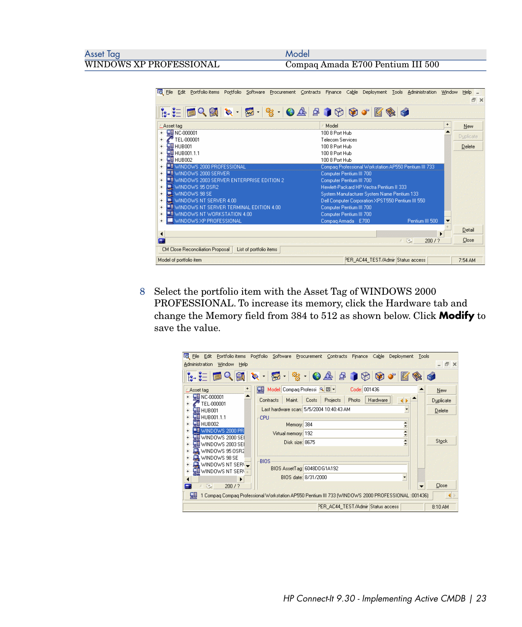Compaq Amada E700 Pentium III 500

| <b>Fig.</b> File<br>Edit Portfolio items Portfolio Software Procurement Contracts Finance                                                                                                                                                                                                                                                                                                                                                                                                                              | Cable<br>Deployment<br>Administration<br>Window<br>Tools | Help<br>日 × |
|------------------------------------------------------------------------------------------------------------------------------------------------------------------------------------------------------------------------------------------------------------------------------------------------------------------------------------------------------------------------------------------------------------------------------------------------------------------------------------------------------------------------|----------------------------------------------------------|-------------|
| $\begin{array}{lll} \mathbf{k} & \mathbf{k} & \mathbf{k} \end{array} \begin{array}{lll} \mathbf{k} & \mathbf{k} & \mathbf{k} \end{array} \begin{array}{lll} \mathbf{k} & \mathbf{k} & \mathbf{k} \end{array} \begin{array}{lll} \mathbf{k} & \mathbf{k} & \mathbf{k} \end{array} \begin{array}{lll} \mathbf{k} & \mathbf{k} & \mathbf{k} \end{array} \begin{array}{lll} \mathbf{k} & \mathbf{k} & \mathbf{k} \end{array} \begin{array}{lll} \mathbf{k} & \mathbf{k} & \mathbf{k} \end{array} \begin{array}{lll} \math$ |                                                          |             |
| ∆Asset tag                                                                                                                                                                                                                                                                                                                                                                                                                                                                                                             | $\ddot{}$<br>Model                                       | New         |
| <b>CD</b> NC-000001                                                                                                                                                                                                                                                                                                                                                                                                                                                                                                    | 100 8 Port Hub                                           |             |
| TEL-000001                                                                                                                                                                                                                                                                                                                                                                                                                                                                                                             | Telecom Services                                         | Duplicate   |
| ⊑∎ н∪воо1                                                                                                                                                                                                                                                                                                                                                                                                                                                                                                              | 100 8 Port Hub                                           | Delete      |
| <b>HI HUBOO1.1.1</b><br>$+$                                                                                                                                                                                                                                                                                                                                                                                                                                                                                            | 100 8 Port Hub                                           |             |
| <b>Ш</b> нивоо2                                                                                                                                                                                                                                                                                                                                                                                                                                                                                                        | 100 8 Port Hub                                           |             |
| <b>Fill WINDOWS 2000 PROFESSIONAL</b>                                                                                                                                                                                                                                                                                                                                                                                                                                                                                  | Compag Professional Workstation AP550 Pentium III 733    |             |
| T WINDOWS 2000 SERVER<br>$\ddot{}$                                                                                                                                                                                                                                                                                                                                                                                                                                                                                     | Computer Pentium III 700                                 |             |
| <b>ME WINDOWS 2003 SERVER ENTERPRISE EDITION 2</b>                                                                                                                                                                                                                                                                                                                                                                                                                                                                     | Computer Pentium III 700                                 |             |
| WINDOWS 95 OSR2<br>$+$                                                                                                                                                                                                                                                                                                                                                                                                                                                                                                 | Hewlett-Packard HP Vectra Pentium II 333                 |             |
| WINDOWS 98 SE<br>$+$                                                                                                                                                                                                                                                                                                                                                                                                                                                                                                   | System Manufacturer System Name Pentium 133              |             |
| WINDOWS NT SERVER 4.00<br>$\ddot{}$                                                                                                                                                                                                                                                                                                                                                                                                                                                                                    | Dell Computer Corporation XPST550 Pentium III 550        |             |
| <b>AT WINDOWS NT SERVER TERMINAL EDITION 4.00</b><br>$\ddot{}$                                                                                                                                                                                                                                                                                                                                                                                                                                                         | Computer Pentium III 700                                 |             |
| <b>ME WINDOWS NT WORKSTATION 4.00</b>                                                                                                                                                                                                                                                                                                                                                                                                                                                                                  | Computer Pentium III 700                                 |             |
| WINDOWS XP PROFESSIONAL                                                                                                                                                                                                                                                                                                                                                                                                                                                                                                | Compag Armada E700<br>Pentium III 500                    |             |
|                                                                                                                                                                                                                                                                                                                                                                                                                                                                                                                        |                                                          | Detail      |
|                                                                                                                                                                                                                                                                                                                                                                                                                                                                                                                        |                                                          |             |
| E                                                                                                                                                                                                                                                                                                                                                                                                                                                                                                                      | 人造<br>200/?                                              | Close       |
| CM Close Reconciliation Proposal<br>List of portfolio items                                                                                                                                                                                                                                                                                                                                                                                                                                                            |                                                          |             |
| Model of portfolio item                                                                                                                                                                                                                                                                                                                                                                                                                                                                                                | PER_AC44_TEST/Admir Status access                        | 7:54 AM     |

8 Select the portfolio item with the Asset Tag of WINDOWS 2000 PROFESSIONAL. To increase its memory, click the Hardware tab and change the Memory field from 384 to 512 as shown below. Click **Modify** to save the value.

| <b>Fe</b><br>File Edit                            | Portfolio items Portfolio Software Procurement Contracts Finance<br>Cable<br>Deployment            | Tools                |
|---------------------------------------------------|----------------------------------------------------------------------------------------------------|----------------------|
| Administration<br>Window<br>Help                  |                                                                                                    | $  \infty$           |
|                                                   |                                                                                                    | 圂<br>GŶ.             |
| ∟Asset tag                                        | Model: Compag Professi Q 图 -<br>Code: 001436<br>çв                                                 | <b>New</b>           |
| <b>EE</b> NC-000001<br>TEL-000001                 | Projects<br>Costs<br>Photo<br>Contracts<br>Maint.<br>Hardware                                      | Duplicate            |
| $\Pi$ HUB001                                      | Last hardware scan: 5/5/2004 10:40:43 AM                                                           | Delete               |
| <b>HI HUB001.1.1</b><br>⊑⊟ н∪воо2                 | CPU<br>Memory: 384                                                                                 |                      |
| <b>LE WINDOWS 2000 PR</b>                         | Virtual memory: 192                                                                                | ÷<br>$\frac{1}{7}$   |
| 텔 WINDOWS 2000 SEI<br>WINDOWS 2003 SEI            | Disk size: 8675                                                                                    | $\div$<br>Stock      |
| WINDOWS 95 OSR2                                   |                                                                                                    |                      |
| WINDOWS 98 SE                                     | BIOS                                                                                               |                      |
| $\Box$ WINDOWS NT SERN $\Box$<br>WINDOWS NT SERV+ | BIOS AssetTag: 6048DDG1A192                                                                        |                      |
|                                                   | BIOS date: 8/31/2000                                                                               | ٠                    |
| 选<br>200/7<br>- 4                                 |                                                                                                    | Close                |
| Чij                                               | 1 Compag Compag Professional Workstation AP550 Pentium III 733 (WINDOWS 2000 PROFESSIONAL :001436) | $\blacktriangleleft$ |
|                                                   | PER AC44 TEST/Admir Status access                                                                  | 8:10 AM              |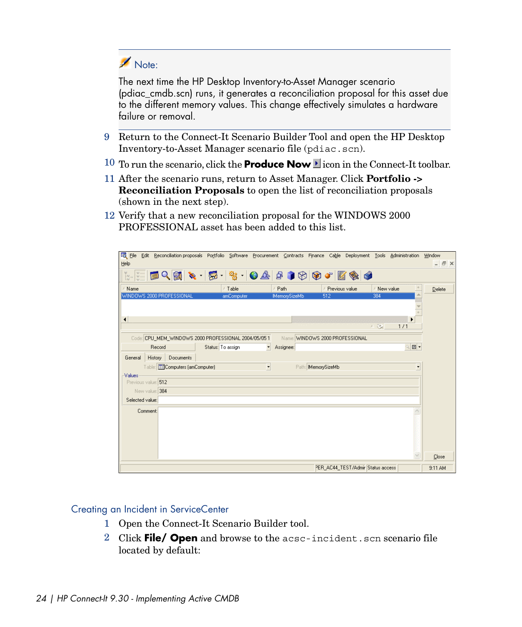# Note:

The next time the HP Desktop Inventory-to-Asset Manager scenario (pdiac\_cmdb.scn) runs, it generates a reconciliation proposal for this asset due to the different memory values. This change effectively simulates a hardware failure or removal.

- 9 Return to the Connect-It Scenario Builder Tool and open the HP Desktop Inventory-to-Asset Manager scenario file (pdiac.scn).
- 10 To run the scenario, click the **Produce Now** licon in the Connect-It toolbar.
- 11 After the scenario runs, return to Asset Manager. Click **Portfolio -> Reconciliation Proposals** to open the list of reconciliation proposals (shown in the next step).
- 12 Verify that a new reconciliation proposal for the WINDOWS 2000 PROFESSIONAL asset has been added to this list.

| <b>Fo</b> File<br>Help                |                                               |                                                                           |                                       | Edit Reconciliation proposals Portfolio Software Procurement Contracts Finance Cable Deployment Tools Administration |                                 | Window<br>$  \overline{$ $\overline{$ $\overline{$ $\overline{$ $\overline{}}$ $\overline{$ $\overline{$ $\overline{}}$ $\overline{$ $\overline{$ $\overline{$ $\overline{$ $\overline{}}$ $\overline{$ $\overline{}}$ $\overline{$ $\overline{$ $\overline{$ $\overline{}}$ $\overline{$ $\overline{}}$ $\overline{$ $\overline{}}$ $\overline{$ $\overline{$ $\overline{}}$ $\overline{$ $\overline{}}$ $\overline{$ |
|---------------------------------------|-----------------------------------------------|---------------------------------------------------------------------------|---------------------------------------|----------------------------------------------------------------------------------------------------------------------|---------------------------------|------------------------------------------------------------------------------------------------------------------------------------------------------------------------------------------------------------------------------------------------------------------------------------------------------------------------------------------------------------------------------------------------------------------------|
|                                       |                                               | ▓░░░█ <b>█Q▒▓░░░░░░░</b> ░                                                |                                       | X                                                                                                                    | 6                               |                                                                                                                                                                                                                                                                                                                                                                                                                        |
| Name<br>WINDOWS 2000 PROFESSIONAL     |                                               | △Table<br>amComputer                                                      | △ Path<br><b>MemorySizeMb</b>         | Previous value<br>512                                                                                                | $\ddot{}$<br>A New value<br>384 | Delete                                                                                                                                                                                                                                                                                                                                                                                                                 |
| $\blacktriangleleft$                  |                                               |                                                                           |                                       |                                                                                                                      | ▶<br>△ 没<br>1/1                 |                                                                                                                                                                                                                                                                                                                                                                                                                        |
|                                       | Record                                        | Code: CPU_MEM_WINDOWS 2000 PROFESSIONAL 2004/05/05 1<br>Status: To assign | $\overline{\phantom{a}}$<br>Assignee: | Name: WINDOWS 2000 PROFESSIONAL                                                                                      | $\Box$<br>Ó,                    |                                                                                                                                                                                                                                                                                                                                                                                                                        |
| History<br>General<br><b>Values</b>   | Documents<br>Table: ED Computers (amComputer) |                                                                           | $\overline{\phantom{a}}$              | Path: MemorySizeMb                                                                                                   | $\overline{\phantom{a}}$        |                                                                                                                                                                                                                                                                                                                                                                                                                        |
| Previous value: 512<br>New value: 384 |                                               |                                                                           |                                       |                                                                                                                      |                                 |                                                                                                                                                                                                                                                                                                                                                                                                                        |
| Selected value:<br>Comment:           |                                               |                                                                           |                                       |                                                                                                                      |                                 |                                                                                                                                                                                                                                                                                                                                                                                                                        |
|                                       |                                               |                                                                           |                                       |                                                                                                                      |                                 |                                                                                                                                                                                                                                                                                                                                                                                                                        |
|                                       |                                               |                                                                           |                                       |                                                                                                                      |                                 | Close                                                                                                                                                                                                                                                                                                                                                                                                                  |
|                                       |                                               |                                                                           |                                       | PER_AC44_TEST/Admir Status access                                                                                    |                                 | $9:11$ AM                                                                                                                                                                                                                                                                                                                                                                                                              |

#### Creating an Incident in ServiceCenter

- 1 Open the Connect-It Scenario Builder tool.
- 2 Click **File/ Open** and browse to the acsc-incident.scn scenario file located by default: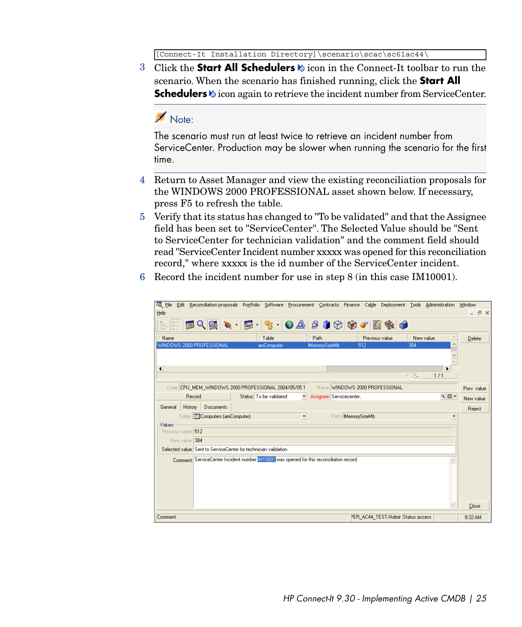[Connect-It Installation Directory]\scenario\scac\sc61ac44\

3 Click the **Start All Schedulers**  $\otimes$  icon in the Connect-It toolbar to run the scenario. When the scenario has finished running, click the **Start All Schedulers** is icon again to retrieve the incident number from ServiceCenter.

## Note:

The scenario must run at least twice to retrieve an incident number from ServiceCenter. Production may be slower when running the scenario for the first time.

- 4 Return to Asset Manager and view the existing reconciliation proposals for the WINDOWS 2000 PROFESSIONAL asset shown below. If necessary, press F5 to refresh the table.
- 5 Verify that its status has changed to "To be validated" and that the Assignee field has been set to "ServiceCenter". The Selected Value should be "Sent to ServiceCenter for technician validation" and the comment field should read "ServiceCenter Incident number xxxxx was opened for this reconciliation record," where xxxxx is the id number of the ServiceCenter incident.
- 6 Record the incident number for use in step 8 (in this case IM10001).

| <b>Fo</b> File<br>Help                            | Edit Reconciliation proposals Portfolio Software Procurement Contracts Finance Cable       |                                                      |                                   | Deployment Tools Administration | Window<br>$  \infty$ |
|---------------------------------------------------|--------------------------------------------------------------------------------------------|------------------------------------------------------|-----------------------------------|---------------------------------|----------------------|
|                                                   | ▓░░░░░█ <b>▏░░░░░░░░░░░░</b> ░                                                             |                                                      |                                   |                                 |                      |
| Name                                              | △Table                                                                                     | Path                                                 | Previous value                    | $+$<br>A New value              | Delete               |
| WINDOWS 2000 PROFESSIONAL<br>$\blacktriangleleft$ | amComputer                                                                                 | <b>IMemorySizeMb</b>                                 | 512                               | 384<br>五役目<br>1/1               |                      |
|                                                   | Code: CPU_MEM_WINDOWS 2000 PROFESSIONAL 2004/05/05 1                                       |                                                      | Name: WINDOWS 2000 PROFESSIONAL   |                                 |                      |
| Record                                            | Status: To be validated                                                                    | $\overline{\phantom{a}}$<br>Assignee: Servicecenter, |                                   | $\mathbb{R}$ $\blacksquare$     | Prev. value          |
| Documents<br>History<br>General                   |                                                                                            |                                                      |                                   |                                 | New value<br>Reject  |
| Table: Computers (amComputer)<br>Values           |                                                                                            | $\overline{\phantom{a}}$<br>Path: MemorySizeMb       |                                   | $\overline{\phantom{a}}$        |                      |
| Previous value: 512                               |                                                                                            |                                                      |                                   |                                 |                      |
| New value: 384                                    |                                                                                            |                                                      |                                   |                                 |                      |
|                                                   | Selected value: Sent to ServiceCenter for technician validation                            |                                                      |                                   |                                 |                      |
|                                                   | Comment: ServiceCenter Incident number [M10001] was opened for this reconciliation record. |                                                      |                                   |                                 |                      |
|                                                   |                                                                                            |                                                      |                                   |                                 | Close                |
| Comment                                           |                                                                                            |                                                      | PER AC44 TEST/Admir Status access |                                 | $9:32$ AM            |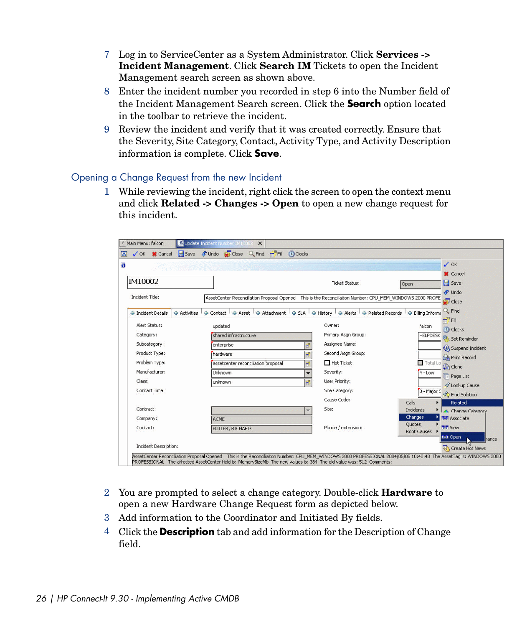- 7 Log in to ServiceCenter as a System Administrator. Click **Services -> Incident Management**. Click **Search IM** Tickets to open the Incident Management search screen as shown above.
- 8 Enter the incident number you recorded in step 6 into the Number field of the Incident Management Search screen. Click the **Search** option located in the toolbar to retrieve the incident.
- 9 Review the incident and verify that it was created correctly. Ensure that the Severity, Site Category, Contact, Activity Type, and Activity Description information is complete. Click **Save**.

#### Opening a Change Request from the new Incident

1 While reviewing the incident, right click the screen to open the context menu and click **Related -> Changes -> Open** to open a new change request for this incident.

| Main Menu: falcon                     | C Update Incident Number IM10002<br>$\times$                                                                                                                                                                                                                                               |                                                        |                                                                      |
|---------------------------------------|--------------------------------------------------------------------------------------------------------------------------------------------------------------------------------------------------------------------------------------------------------------------------------------------|--------------------------------------------------------|----------------------------------------------------------------------|
| Save<br><b>X</b> Cancel<br>$\sqrt{X}$ | Close Q Find FFIII C Clocks<br>$\mathcal{L}$ Undo                                                                                                                                                                                                                                          |                                                        |                                                                      |
|                                       |                                                                                                                                                                                                                                                                                            |                                                        | $\sqrt{}$ OK                                                         |
|                                       |                                                                                                                                                                                                                                                                                            |                                                        | <b>X</b> Cancel                                                      |
| IM10002                               |                                                                                                                                                                                                                                                                                            | <b>Ticket Status:</b>                                  | Save<br>Open                                                         |
| Incident Title:                       | AssetCenter Reconciliation Proposal Opened This is the Reconciliaiton Number: CPU_MEM_WINDOWS 2000 PROFE                                                                                                                                                                                   |                                                        | <b><i>S</i></b> Undo                                                 |
|                                       |                                                                                                                                                                                                                                                                                            |                                                        | Close                                                                |
| ← Incident Details<br>Activities      | Asset  <br>← Contact                                                                                                                                                                                                                                                                       | Attachment   SLA   Alerty   Alerts   A Related Records | Q. Find<br>← Billing Informa                                         |
| Alert Status:                         | updated                                                                                                                                                                                                                                                                                    | Owner:                                                 | $-$ Fill<br>falcon<br>C Clocks                                       |
| Category:                             | shared infrastructure                                                                                                                                                                                                                                                                      | Primary Asgn Group:                                    | <b>HELPDESK</b><br>Set Reminder                                      |
| Subcategory:                          | enterprise                                                                                                                                                                                                                                                                                 | Assignee Name:                                         | <b>A Suspend Incident</b>                                            |
| Product Type:                         | hardware                                                                                                                                                                                                                                                                                   | Second Asgn Group:<br>Ŧ                                | Print Record                                                         |
| Problem Type:                         | assetcenter reconciliation broposal                                                                                                                                                                                                                                                        | $\Box$ Hot Ticket<br>R                                 | $\Box$ Total Lo<br>Clone                                             |
| Manufacturer:                         | <b>Linknown</b>                                                                                                                                                                                                                                                                            | Severity:                                              | $4 - Low$<br>Page List                                               |
| Class:                                | unknown                                                                                                                                                                                                                                                                                    | User Priority:<br>ď                                    | Cause                                                                |
| Contact Time:                         |                                                                                                                                                                                                                                                                                            | Site Category:<br>Cause Code:                          | B - Major S<br><b>So Find Solution</b>                               |
| Contract:                             |                                                                                                                                                                                                                                                                                            | Site:                                                  | Calls<br>Related                                                     |
| Company:                              | <b>ACME</b>                                                                                                                                                                                                                                                                                |                                                        | <b>Incidents</b><br>Channe Catenory<br>Changes<br><b>帮</b> Associate |
| Contact:                              | <b>BUTLER, RICHARD</b>                                                                                                                                                                                                                                                                     | Phone / extension:                                     | Quotes<br><b>25</b> View                                             |
|                                       |                                                                                                                                                                                                                                                                                            |                                                        | Root Causes<br><b>KHZ</b> Open<br>hance                              |
| Incident Description:                 |                                                                                                                                                                                                                                                                                            |                                                        | Create Hot News                                                      |
|                                       | AssetCenter Reconciliation Proposal Opened This is the Reconciliaiton Number: CPU_MEM_WINDOWS 2000 PROFESSIONAL 2004/05/05 10:40:43 The AssetTag is: WINDOWS 2000<br>PROFESSIONAL The affected AssetCenter field is: IMemorySizeMb The new values is: 384 The old value was: 512 Comments: |                                                        |                                                                      |

- 2 You are prompted to select a change category. Double-click **Hardware** to open a new Hardware Change Request form as depicted below.
- 3 Add information to the Coordinator and Initiated By fields.
- 4 Click the **Description** tab and add information for the Description of Change field.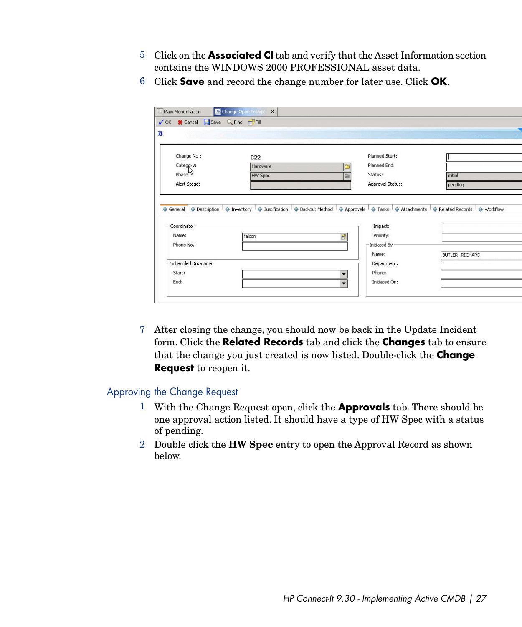- 5 Click on the **Associated CI** tab and verify that the Asset Information section contains the WINDOWS 2000 PROFESSIONAL asset data.
- 6 Click **Save** and record the change number for later use. Click **OK**.

|                                                     | √ OK <sup>3</sup> Cancel Save Q Find FFill |                                                                                                                                                                |                 |
|-----------------------------------------------------|--------------------------------------------|----------------------------------------------------------------------------------------------------------------------------------------------------------------|-----------------|
|                                                     |                                            |                                                                                                                                                                |                 |
| Change No.:                                         | C <sub>22</sub>                            | Planned Start:                                                                                                                                                 |                 |
| Category:                                           | <b>Hardware</b>                            | Planned End:                                                                                                                                                   |                 |
| Phase                                               | <b>HW Spec</b>                             | Status:                                                                                                                                                        | initial         |
| Alert Stage:                                        |                                            | Approval Status:                                                                                                                                               | pending         |
|                                                     |                                            | A Description $\Box$ S Inventory $\Box$ Instification $\Box$ A Backout Method $\Box$ A Approvals $\Box$ Attachments $\Box$ A Related Records $\Box$ A Workflow |                 |
| ← General<br>-Coordinator                           |                                            | Impact:                                                                                                                                                        |                 |
|                                                     | falcon                                     | Priority:                                                                                                                                                      |                 |
|                                                     |                                            | B<br>-Initiated By -                                                                                                                                           |                 |
|                                                     |                                            | Name:                                                                                                                                                          | BUTLER, RICHARD |
|                                                     |                                            | Department:                                                                                                                                                    |                 |
| Name:<br>Phone No.:<br>Scheduled Downtime<br>Start: |                                            | Phone:<br>$\overline{\phantom{0}}$                                                                                                                             |                 |

7 After closing the change, you should now be back in the Update Incident form. Click the **Related Records** tab and click the **Changes** tab to ensure that the change you just created is now listed. Double-click the **Change Request** to reopen it.

#### Approving the Change Request

- 1 With the Change Request open, click the **Approvals** tab. There should be one approval action listed. It should have a type of HW Spec with a status of pending.
- 2 Double click the **HW Spec** entry to open the Approval Record as shown below.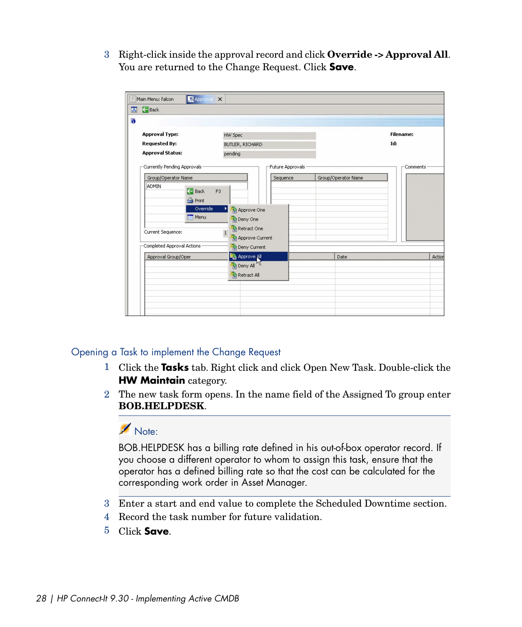3 Right-click inside the approval record and click **Override -> Approval All**. You are returned to the Change Request. Click **Save**.

| $\overline{\mathcal{S}}$<br>Back<br>$\overline{\mathbf{G}}$ |                                 |                  |                     |          |        |  |  |
|-------------------------------------------------------------|---------------------------------|------------------|---------------------|----------|--------|--|--|
|                                                             |                                 |                  |                     |          |        |  |  |
| <b>Approval Type:</b>                                       | <b>HW Spec</b>                  |                  | <b>Filename:</b>    |          |        |  |  |
| <b>Requested By:</b>                                        | BUTLER, RICHARD                 |                  |                     | Id:      |        |  |  |
| <b>Approval Status:</b>                                     | pending                         |                  |                     |          |        |  |  |
| Currently Pending Approvals                                 |                                 | Future Approvals |                     | Comments |        |  |  |
| Group/Operator Name                                         |                                 | Sequence         | Group/Operator Name |          |        |  |  |
| ADMIN<br>Back                                               | F <sub>3</sub>                  |                  |                     |          |        |  |  |
| <b>A</b> Print                                              |                                 |                  |                     |          |        |  |  |
|                                                             | Override<br>٠<br>Approve One    |                  |                     |          |        |  |  |
| Menu                                                        | Deny One                        |                  |                     |          |        |  |  |
|                                                             | Retract One                     |                  |                     |          |        |  |  |
| Current Sequence:                                           | $\mathbf{1}$<br>Approve Current |                  |                     |          |        |  |  |
| Completed Approval Actions                                  | Deny Current                    |                  |                     |          |        |  |  |
|                                                             | <b>Pa</b> Approve all           |                  | Date                |          | Action |  |  |
|                                                             | Deny All                        |                  |                     |          |        |  |  |
| Approval Group/Oper                                         |                                 |                  |                     |          |        |  |  |
|                                                             | Retract All                     |                  |                     |          |        |  |  |
|                                                             |                                 |                  |                     |          |        |  |  |

### Opening a Task to implement the Change Request

- 1 Click the **Tasks** tab. Right click and click Open New Task. Double-click the **HW Maintain** category.
- 2 The new task form opens. In the name field of the Assigned To group enter **BOB.HELPDESK**.

## Note:

BOB.HELPDESK has a billing rate defined in his out-of-box operator record. If you choose a different operator to whom to assign this task, ensure that the operator has a defined billing rate so that the cost can be calculated for the corresponding work order in Asset Manager.

- 3 Enter a start and end value to complete the Scheduled Downtime section.
- 4 Record the task number for future validation.
- 5 Click **Save**.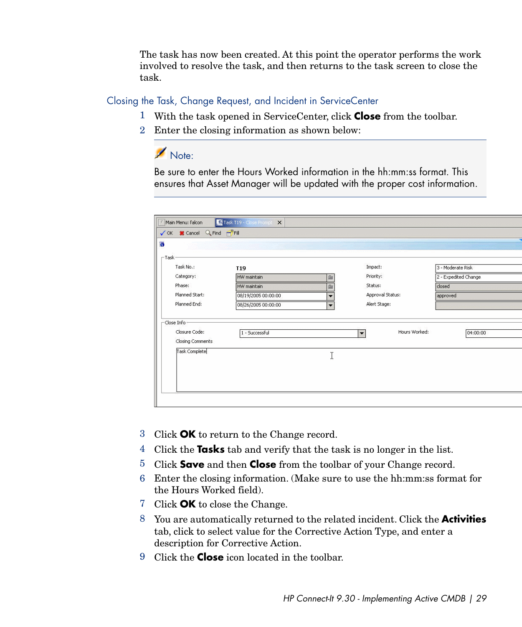The task has now been created. At this point the operator performs the work involved to resolve the task, and then returns to the task screen to close the task.

#### Closing the Task, Change Request, and Incident in ServiceCenter

- 1 With the task opened in ServiceCenter, click **Close** from the toolbar.
- 2 Enter the closing information as shown below:

Note:

Be sure to enter the Hours Worked information in the hh:mm:ss format. This ensures that Asset Manager will be updated with the proper cost information.

| $\sqsubset$ Task $\cdot$<br>Task No.:             | T <sub>19</sub>     |                          | Impact:                               |          | 3 - Moderate Risk    |  |
|---------------------------------------------------|---------------------|--------------------------|---------------------------------------|----------|----------------------|--|
| Category:                                         | HW maintain         | ā.                       | Priority:                             |          | 2 - Expedited Change |  |
| Phase:                                            | HW maintain         | ò,                       | Status:                               | closed   |                      |  |
| Planned Start:                                    | 08/19/2005 00:00:00 | ▼                        | Approval Status:                      | approved |                      |  |
| Planned End:                                      | 08/26/2005 00:00:00 | $\overline{\phantom{0}}$ | Alert Stage:                          |          |                      |  |
| -Close Info-<br>Closure Code:<br>Closing Comments | 1 - Successful      |                          | Hours Worked:<br>$\blacktriangledown$ |          | 04:00:00             |  |
| Task Complete                                     |                     | I                        |                                       |          |                      |  |
|                                                   |                     |                          |                                       |          |                      |  |

- 3 Click **OK** to return to the Change record.
- 4 Click the **Tasks** tab and verify that the task is no longer in the list.
- 5 Click **Save** and then **Close** from the toolbar of your Change record.
- 6 Enter the closing information. (Make sure to use the hh:mm:ss format for the Hours Worked field).
- 7 Click **OK** to close the Change.
- 8 You are automatically returned to the related incident. Click the **Activities** tab, click to select value for the Corrective Action Type, and enter a description for Corrective Action.
- 9 Click the **Close** icon located in the toolbar.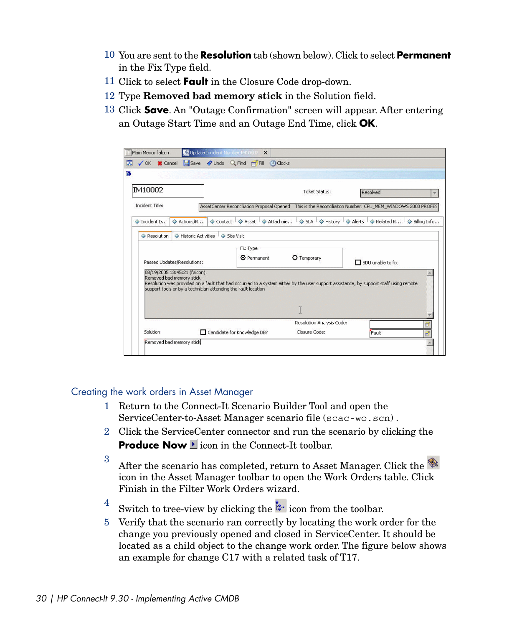- 10 You are sent to the **Resolution** tab (shown below). Click to select **Permanent** in the Fix Type field.
- 11 Click to select **Fault** in the Closure Code drop-down.
- 12 Type **Removed bad memory stick** in the Solution field.
- 13 Click **Save**. An "Outage Confirmation" screen will appear. After entering an Outage Start Time and an Outage End Time, click **OK**.

|                                                                                                                             |                             | Update Incident Number IM10002 X  |            |                          |                     |                       |                           |                                                                                                                                       |                         |
|-----------------------------------------------------------------------------------------------------------------------------|-----------------------------|-----------------------------------|------------|--------------------------|---------------------|-----------------------|---------------------------|---------------------------------------------------------------------------------------------------------------------------------------|-------------------------|
| √ OK <b>S</b> Cancel                                                                                                        |                             | Save C Undo Q Find FFIII O Clocks |            |                          |                     |                       |                           |                                                                                                                                       |                         |
|                                                                                                                             |                             |                                   |            |                          |                     |                       |                           |                                                                                                                                       |                         |
| IM10002                                                                                                                     |                             |                                   |            |                          |                     | <b>Ticket Status:</b> |                           | Resolved                                                                                                                              | $\overline{\mathbf{v}}$ |
| Incident Title:                                                                                                             |                             |                                   |            |                          |                     |                       |                           | AssetCenter Reconciliation Proposal Opened This is the Reconciliaiton Number: CPU MEM WINDOWS 2000 PROFES                             |                         |
| ← Incident D                                                                                                                | Actions/R                   | Contact <sup>1</sup>              |            | Asset                    | $\Diamond$ Attachme | $\sim$ SLA            | History <sup>1</sup>      | $\bigcirc$ Alerts $\bigcirc$ Related R                                                                                                | Billing Info            |
| Resolution                                                                                                                  | Historic Activities         |                                   | Site Visit |                          |                     |                       |                           |                                                                                                                                       |                         |
|                                                                                                                             | Passed Updates/Resolutions: |                                   |            | -Fix Type<br>O Permanent |                     | O Temporary           |                           | $\Box$ SDU unable to fix                                                                                                              |                         |
|                                                                                                                             |                             |                                   |            |                          |                     |                       |                           |                                                                                                                                       |                         |
| 08/19/2005 13:45:21 (falcon):<br>Removed bad memory stick.<br>support tools or by a technician attending the fault location |                             |                                   |            |                          |                     | T                     |                           | Resolution was provided on a fault that had occurred to a system either by the user support assistance, by support staff using remote |                         |
|                                                                                                                             |                             |                                   |            |                          |                     |                       | Resolution Analysis Code: |                                                                                                                                       | B                       |

#### Creating the work orders in Asset Manager

- 1 Return to the Connect-It Scenario Builder Tool and open the ServiceCenter-to-Asset Manager scenario file (scac-wo.scn) .
- 2 Click the ServiceCenter connector and run the scenario by clicking the **Produce Now I** icon in the Connect-It toolbar.
- <sup>3</sup> After the scenario has completed, return to Asset Manager. Click the  $\mathscr{L}$ icon in the Asset Manager toolbar to open the Work Orders table. Click Finish in the Filter Work Orders wizard.
- <sup>4</sup> Switch to tree-view by clicking the  $\ddot{k}$  icon from the toolbar.
- 5 Verify that the scenario ran correctly by locating the work order for the change you previously opened and closed in ServiceCenter. It should be located as a child object to the change work order. The figure below shows an example for change C17 with a related task of T17.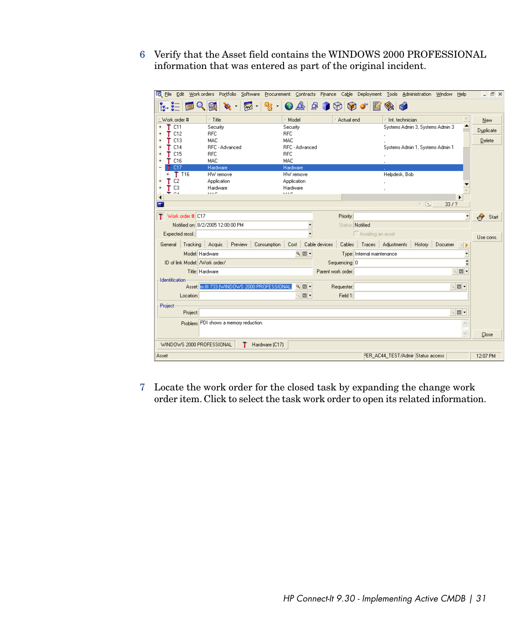6 Verify that the Asset field contains the WINDOWS 2000 PROFESSIONAL information that was entered as part of the original incident.

| File Edit Work orders Portfolio<br>Software<br>Procurement Contracts Finance Cable<br>Deployment Tools Administration Window           | Help                              | - 日 ×      |
|----------------------------------------------------------------------------------------------------------------------------------------|-----------------------------------|------------|
| 욥<br>$Q$ or<br>ၾွး<br>♨<br>Z<br>⊠<br>I (X)<br>$\bullet$                                                                                |                                   |            |
| $\triangle$ Title<br>Work order #<br>Model<br>Actual end<br>Int. technician                                                            |                                   | New        |
| T C11<br>Systems Admin 3, Systems Admin 3<br>Security<br>Security                                                                      |                                   |            |
| RFC<br>$T$ C12<br>RFC                                                                                                                  |                                   | Duplicate  |
| MAC<br>MAC<br>$T$ C13                                                                                                                  |                                   | Delete     |
| RFC - Advanced<br>RFC - Advanced<br>C14<br>Systems Admin 1, Systems Admin 1<br>т                                                       |                                   |            |
| C15<br>RFC<br>RFC                                                                                                                      |                                   |            |
| MAC<br>MAC<br>C16                                                                                                                      |                                   |            |
| Hardware<br>C17<br>Hardware<br>т                                                                                                       |                                   |            |
| T T16<br>HW remove<br>Helpdesk, Bob<br>HW remove<br>$\ddot{}$                                                                          |                                   |            |
| C <sub>2</sub><br>Application<br>Application                                                                                           |                                   |            |
| Hardware<br>Hardware<br>C <sub>3</sub><br>1100                                                                                         |                                   |            |
| <b>AAA0</b><br>$\sim$                                                                                                                  |                                   |            |
| 人役<br>Œ                                                                                                                                | 33/7                              |            |
|                                                                                                                                        |                                   |            |
| Work order #: C17<br>Priority:<br>т.                                                                                                   | $\overline{\phantom{a}}$          | Ą<br>Start |
| Notified on: 8/2/2005 12:00:00 PM<br>Status: Notified                                                                                  |                                   |            |
| ÷<br>Awaiting an asset<br>Expected resol.:                                                                                             |                                   | Use cons.  |
| Cable devices<br>Tracking Acquis.<br>Consumption<br>Cost<br>Cables<br>Traces   Adjustments<br>History<br>Documer<br>Preview<br>General |                                   |            |
| $QE +$<br>Model: Hardware<br>Type: Internal maintenance                                                                                |                                   |            |
| ID of link Model: /Work order/<br>Sequencing: 0                                                                                        | $\blacktriangle$                  |            |
|                                                                                                                                        |                                   |            |
| Title: Hardware<br>Parent work order:                                                                                                  | $\boxed{2}$<br>$Q_{\rm e}$        |            |
| <b>Identification</b>                                                                                                                  |                                   |            |
| Asset: m III 733 [WINDOWS 2000 PROFESSIONAL]<br>འ▣▾<br>Requester:                                                                      | $Q_{\rm c}$<br>e -                |            |
| $\square$<br>Field 1:<br>Location:                                                                                                     |                                   |            |
| Project                                                                                                                                |                                   |            |
| Project:                                                                                                                               | $\Box$<br>$\mathsf{Q}_\mathsf{c}$ |            |
| Problem; PDI shows a memory reduction.                                                                                                 | ×                                 |            |
|                                                                                                                                        |                                   |            |
|                                                                                                                                        | Ñ                                 | Close      |
| WINDOWS 2000 PROFESSIONAL<br>т<br>Hardware (C17)                                                                                       |                                   |            |
| PER_AC44_TEST/Admir Status access<br>Asset                                                                                             |                                   | 12:07 PM   |

7 Locate the work order for the closed task by expanding the change work order item. Click to select the task work order to open its related information.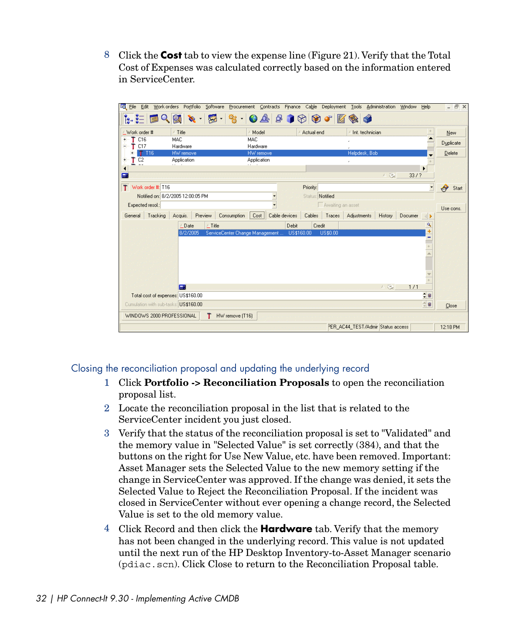8 Click the **Cost** tab to view the expense line (Figure 21). Verify that the Total Cost of Expenses was calculated correctly based on the information entered in ServiceCenter.



#### Closing the reconciliation proposal and updating the underlying record

- 1 Click **Portfolio -> Reconciliation Proposals** to open the reconciliation proposal list.
- 2 Locate the reconciliation proposal in the list that is related to the ServiceCenter incident you just closed.
- 3 Verify that the status of the reconciliation proposal is set to "Validated" and the memory value in "Selected Value" is set correctly (384), and that the buttons on the right for Use New Value, etc. have been removed. Important: Asset Manager sets the Selected Value to the new memory setting if the change in ServiceCenter was approved. If the change was denied, it sets the Selected Value to Reject the Reconciliation Proposal. If the incident was closed in ServiceCenter without ever opening a change record, the Selected Value is set to the old memory value.
- 4 Click Record and then click the **Hardware** tab. Verify that the memory has not been changed in the underlying record. This value is not updated until the next run of the HP Desktop Inventory-to-Asset Manager scenario (pdiac.scn). Click Close to return to the Reconciliation Proposal table.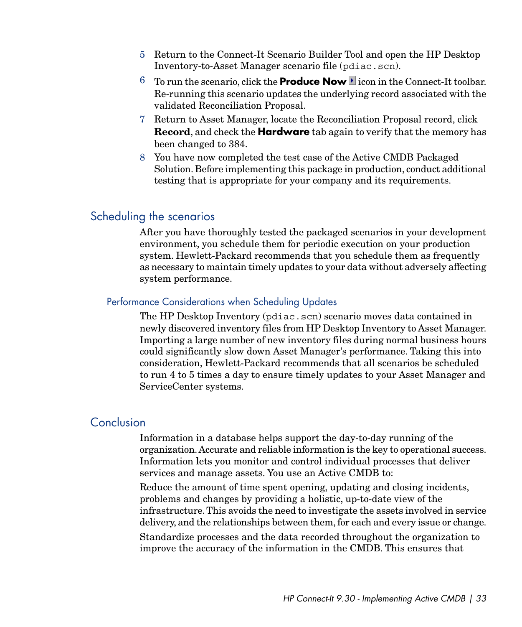- 5 Return to the Connect-It Scenario Builder Tool and open the HP Desktop Inventory-to-Asset Manager scenario file (pdiac.scn).
- $6$  To run the scenario, click the **Produce Now** licon in the Connect-It toolbar. Re-running this scenario updates the underlying record associated with the validated Reconciliation Proposal.
- 7 Return to Asset Manager, locate the Reconciliation Proposal record, click **Record**, and check the **Hardware** tab again to verify that the memory has been changed to 384.
- 8 You have now completed the test case of the Active CMDB Packaged Solution. Before implementing this package in production, conduct additional testing that is appropriate for your company and its requirements.

## Scheduling the scenarios

After you have thoroughly tested the packaged scenarios in your development environment, you schedule them for periodic execution on your production system. Hewlett-Packard recommends that you schedule them as frequently as necessary to maintain timely updates to your data without adversely affecting system performance.

#### Performance Considerations when Scheduling Updates

The HP Desktop Inventory (pdiac.scn) scenario moves data contained in newly discovered inventory files from HP Desktop Inventory to Asset Manager. Importing a large number of new inventory files during normal business hours could significantly slow down Asset Manager's performance. Taking this into consideration, Hewlett-Packard recommends that all scenarios be scheduled to run 4 to 5 times a day to ensure timely updates to your Asset Manager and ServiceCenter systems.

#### Conclusion

Information in a database helps support the day-to-day running of the organization.Accurate and reliable information is the key to operational success. Information lets you monitor and control individual processes that deliver services and manage assets. You use an Active CMDB to:

Reduce the amount of time spent opening, updating and closing incidents, problems and changes by providing a holistic, up-to-date view of the infrastructure. This avoids the need to investigate the assets involved in service delivery, and the relationships between them, for each and every issue or change.

Standardize processes and the data recorded throughout the organization to improve the accuracy of the information in the CMDB. This ensures that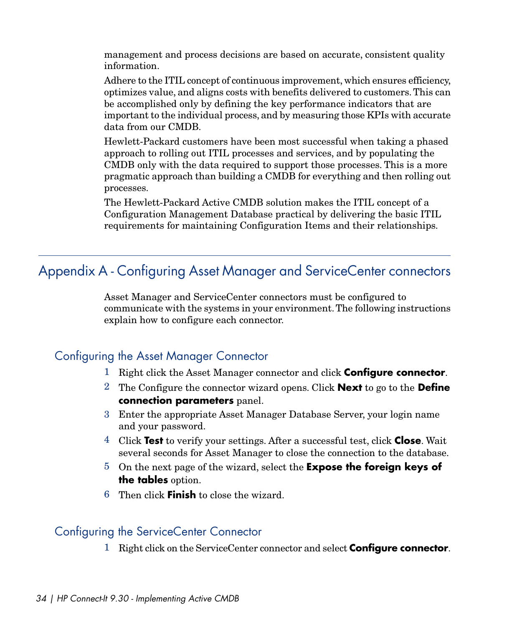management and process decisions are based on accurate, consistent quality information.

Adhere to the ITIL concept of continuous improvement, which ensures efficiency, optimizes value, and aligns costs with benefits delivered to customers. This can be accomplished only by defining the key performance indicators that are important to the individual process, and by measuring those KPIs with accurate data from our CMDB.

Hewlett-Packard customers have been most successful when taking a phased approach to rolling out ITIL processes and services, and by populating the CMDB only with the data required to support those processes. This is a more pragmatic approach than building a CMDB for everything and then rolling out processes.

<span id="page-33-0"></span>The Hewlett-Packard Active CMDB solution makes the ITIL concept of a Configuration Management Database practical by delivering the basic ITIL requirements for maintaining Configuration Items and their relationships.

# Appendix A - Configuring Asset Manager and ServiceCenter connectors

Asset Manager and ServiceCenter connectors must be configured to communicate with the systems in your environment. The following instructions explain how to configure each connector.

## Configuring the Asset Manager Connector

- 1 Right click the Asset Manager connector and click **Configure connector**.
- 2 The Configure the connector wizard opens. Click **Next** to go to the **Define connection parameters** panel.
- 3 Enter the appropriate Asset Manager Database Server, your login name and your password.
- 4 Click **Test** to verify your settings. After a successful test, click **Close**. Wait several seconds for Asset Manager to close the connection to the database.
- 5 On the next page of the wizard, select the **Expose the foreign keys of the tables** option.
- 6 Then click **Finish** to close the wizard.

## Configuring the ServiceCenter Connector

1 Right click on the ServiceCenter connector and select **Configure connector**.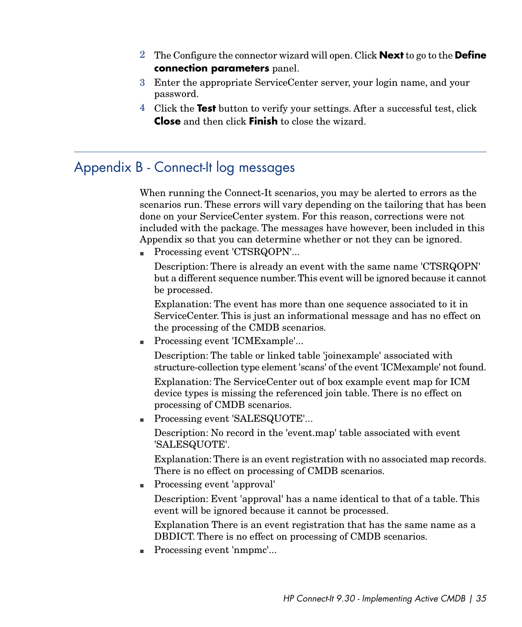- 2 The Configure the connector wizard will open. Click **Next** to go to the **Define connection parameters** panel.
- 3 Enter the appropriate ServiceCenter server, your login name, and your password.
- <span id="page-34-0"></span>4 Click the **Test** button to verify your settings. After a successful test, click **Close** and then click **Finish** to close the wizard.

# Appendix B - Connect-It log messages

When running the Connect-It scenarios, you may be alerted to errors as the scenarios run. These errors will vary depending on the tailoring that has been done on your ServiceCenter system. For this reason, corrections were not included with the package. The messages have however, been included in this Appendix so that you can determine whether or not they can be ignored.

■ Processing event 'CTSRQOPN'...

Description: There is already an event with the same name 'CTSRQOPN' but a different sequence number.This event will be ignored because it cannot be processed.

Explanation: The event has more than one sequence associated to it in ServiceCenter. This is just an informational message and has no effect on the processing of the CMDB scenarios.

■ Processing event 'ICMExample'...

Description: The table or linked table 'joinexample' associated with structure-collection type element 'scans' of the event 'ICMexample' not found.

Explanation: The ServiceCenter out of box example event map for ICM device types is missing the referenced join table. There is no effect on processing of CMDB scenarios.

■ Processing event 'SALESQUOTE'...

Description: No record in the 'event.map' table associated with event 'SALESQUOTE'.

Explanation: There is an event registration with no associated map records. There is no effect on processing of CMDB scenarios.

<sup>n</sup> Processing event 'approval'

Description: Event 'approval' has a name identical to that of a table. This event will be ignored because it cannot be processed.

Explanation There is an event registration that has the same name as a DBDICT. There is no effect on processing of CMDB scenarios.

 $\blacksquare$  Processing event 'nmpmc'...